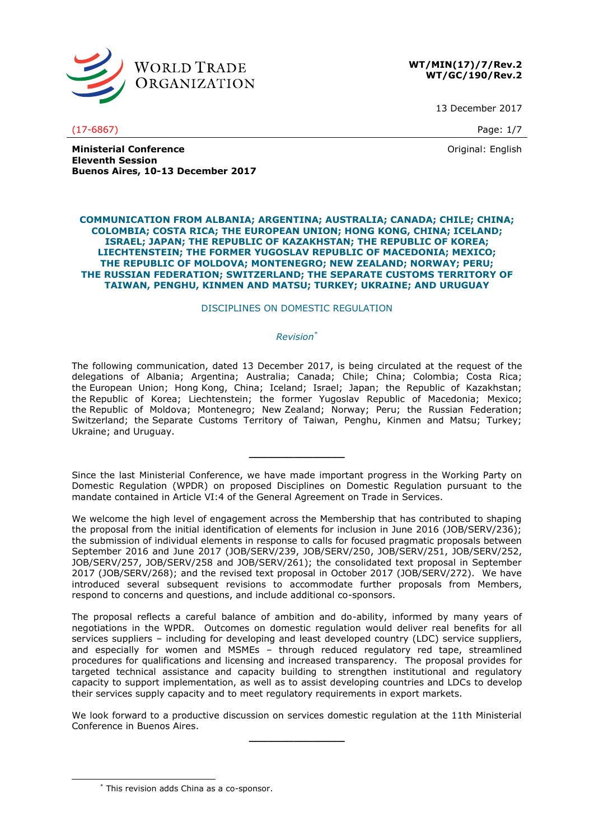

## **WT/MIN(17)/7/Rev.2 WT/GC/190/Rev.2**

13 December 2017

(17-6867) Page: 1/7

Original: English

**Ministerial Conference Eleventh Session Buenos Aires, 10-13 December 2017**

### **COMMUNICATION FROM ALBANIA; ARGENTINA; AUSTRALIA; CANADA; CHILE; CHINA; COLOMBIA; COSTA RICA; THE EUROPEAN UNION; HONG KONG, CHINA; ICELAND; ISRAEL; JAPAN; THE REPUBLIC OF KAZAKHSTAN; THE REPUBLIC OF KOREA; LIECHTENSTEIN; THE FORMER YUGOSLAV REPUBLIC OF MACEDONIA; MEXICO; THE REPUBLIC OF MOLDOVA; MONTENEGRO; NEW ZEALAND; NORWAY; PERU; THE RUSSIAN FEDERATION; SWITZERLAND; THE SEPARATE CUSTOMS TERRITORY OF TAIWAN, PENGHU, KINMEN AND MATSU; TURKEY; UKRAINE; AND URUGUAY**

# DISCIPLINES ON DOMESTIC REGULATION

# *Revision\**

The following communication, dated 13 December 2017, is being circulated at the request of the delegations of Albania; Argentina; Australia; Canada; Chile; China; Colombia; Costa Rica; the European Union; Hong Kong, China; Iceland; Israel; Japan; the Republic of Kazakhstan; the Republic of Korea; Liechtenstein; the former Yugoslav Republic of Macedonia; Mexico; the Republic of Moldova; Montenegro; New Zealand; Norway; Peru; the Russian Federation; Switzerland; the Separate Customs Territory of Taiwan, Penghu, Kinmen and Matsu; Turkey; Ukraine; and Uruguay.

Since the last Ministerial Conference, we have made important progress in the Working Party on Domestic Regulation (WPDR) on proposed Disciplines on Domestic Regulation pursuant to the mandate contained in Article VI:4 of the General Agreement on Trade in Services.

**\_\_\_\_\_\_\_\_\_\_\_\_\_\_\_**

We welcome the high level of engagement across the Membership that has contributed to shaping the proposal from the initial identification of elements for inclusion in June 2016 (JOB/SERV/236); the submission of individual elements in response to calls for focused pragmatic proposals between September 2016 and June 2017 (JOB/SERV/239, JOB/SERV/250, JOB/SERV/251, JOB/SERV/252, JOB/SERV/257, JOB/SERV/258 and JOB/SERV/261); the consolidated text proposal in September 2017 (JOB/SERV/268); and the revised text proposal in October 2017 (JOB/SERV/272). We have introduced several subsequent revisions to accommodate further proposals from Members, respond to concerns and questions, and include additional co-sponsors.

The proposal reflects a careful balance of ambition and do-ability, informed by many years of negotiations in the WPDR. Outcomes on domestic regulation would deliver real benefits for all services suppliers – including for developing and least developed country (LDC) service suppliers, and especially for women and MSMEs – through reduced regulatory red tape, streamlined procedures for qualifications and licensing and increased transparency. The proposal provides for targeted technical assistance and capacity building to strengthen institutional and regulatory capacity to support implementation, as well as to assist developing countries and LDCs to develop their services supply capacity and to meet regulatory requirements in export markets.

We look forward to a productive discussion on services domestic regulation at the 11th Ministerial Conference in Buenos Aires. **\_\_\_\_\_\_\_\_\_\_\_\_\_\_\_**

-

<sup>\*</sup> This revision adds China as a co-sponsor.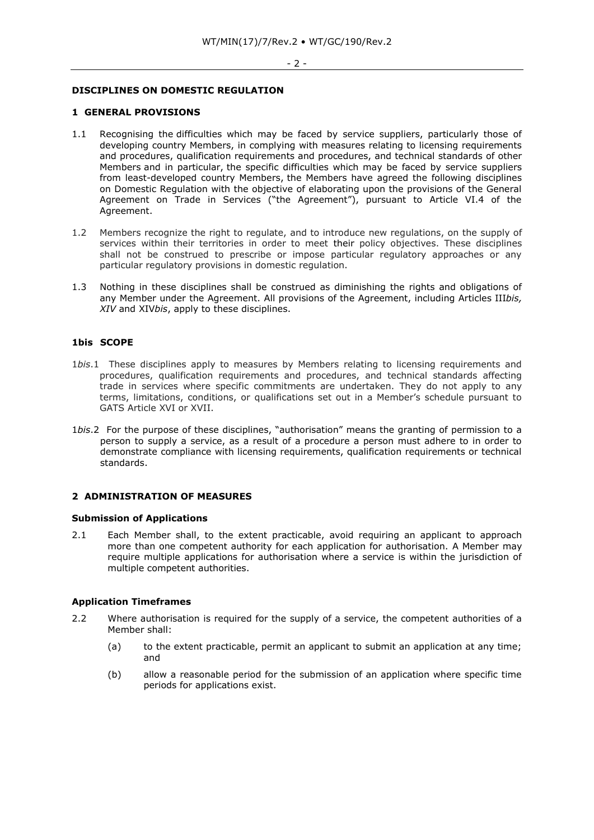# **DISCIPLINES ON DOMESTIC REGULATION**

#### **1 GENERAL PROVISIONS**

- 1.1 Recognising the difficulties which may be faced by service suppliers, particularly those of developing country Members, in complying with measures relating to licensing requirements and procedures, qualification requirements and procedures, and technical standards of other Members and in particular, the specific difficulties which may be faced by service suppliers from least-developed country Members, the Members have agreed the following disciplines on Domestic Regulation with the objective of elaborating upon the provisions of the General Agreement on Trade in Services ("the Agreement"), pursuant to Article VI.4 of the Agreement.
- 1.2 Members recognize the right to regulate, and to introduce new regulations, on the supply of services within their territories in order to meet their policy objectives. These disciplines shall not be construed to prescribe or impose particular regulatory approaches or any particular regulatory provisions in domestic regulation.
- 1.3 Nothing in these disciplines shall be construed as diminishing the rights and obligations of any Member under the Agreement. All provisions of the Agreement, including Articles III*bis, XIV* and XIV*bis*, apply to these disciplines.

## **1bis SCOPE**

- 1*bis*.1 These disciplines apply to measures by Members relating to licensing requirements and procedures, qualification requirements and procedures, and technical standards affecting trade in services where specific commitments are undertaken. They do not apply to any terms, limitations, conditions, or qualifications set out in a Member's schedule pursuant to GATS Article XVI or XVII.
- 1*bis*.2 For the purpose of these disciplines, "authorisation" means the granting of permission to a person to supply a service, as a result of a procedure a person must adhere to in order to demonstrate compliance with licensing requirements, qualification requirements or technical standards.

# **2 ADMINISTRATION OF MEASURES**

## **Submission of Applications**

2.1 Each Member shall, to the extent practicable, avoid requiring an applicant to approach more than one competent authority for each application for authorisation. A Member may require multiple applications for authorisation where a service is within the jurisdiction of multiple competent authorities.

#### **Application Timeframes**

- 2.2 Where authorisation is required for the supply of a service, the competent authorities of a Member shall:
	- (a) to the extent practicable, permit an applicant to submit an application at any time; and
	- (b) allow a reasonable period for the submission of an application where specific time periods for applications exist.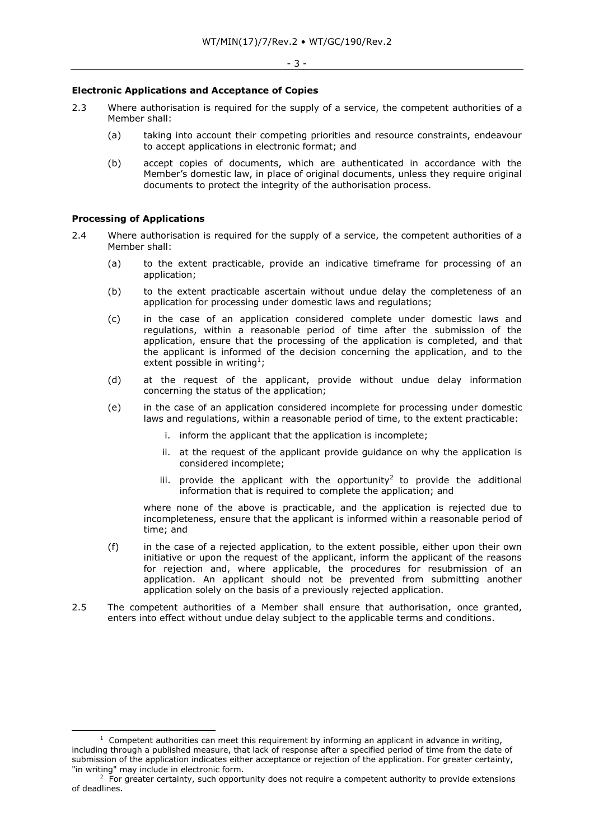#### **Electronic Applications and Acceptance of Copies**

- 2.3 Where authorisation is required for the supply of a service, the competent authorities of a Member shall:
	- (a) taking into account their competing priorities and resource constraints, endeavour to accept applications in electronic format; and
	- (b) accept copies of documents, which are authenticated in accordance with the Member's domestic law, in place of original documents, unless they require original documents to protect the integrity of the authorisation process.

## **Processing of Applications**

-

- 2.4 Where authorisation is required for the supply of a service, the competent authorities of a Member shall:
	- (a) to the extent practicable, provide an indicative timeframe for processing of an application;
	- (b) to the extent practicable ascertain without undue delay the completeness of an application for processing under domestic laws and regulations;
	- (c) in the case of an application considered complete under domestic laws and regulations, within a reasonable period of time after the submission of the application, ensure that the processing of the application is completed, and that the applicant is informed of the decision concerning the application, and to the extent possible in writing<sup>1</sup>;
	- (d) at the request of the applicant, provide without undue delay information concerning the status of the application;
	- (e) in the case of an application considered incomplete for processing under domestic laws and regulations, within a reasonable period of time, to the extent practicable:
		- i. inform the applicant that the application is incomplete;
		- ii. at the request of the applicant provide guidance on why the application is considered incomplete;
		- iii. provide the applicant with the opportunity<sup>2</sup> to provide the additional information that is required to complete the application; and

where none of the above is practicable, and the application is rejected due to incompleteness, ensure that the applicant is informed within a reasonable period of time; and

- (f) in the case of a rejected application, to the extent possible, either upon their own initiative or upon the request of the applicant, inform the applicant of the reasons for rejection and, where applicable, the procedures for resubmission of an application. An applicant should not be prevented from submitting another application solely on the basis of a previously rejected application.
- 2.5 The competent authorities of a Member shall ensure that authorisation, once granted, enters into effect without undue delay subject to the applicable terms and conditions.

 $1$  Competent authorities can meet this requirement by informing an applicant in advance in writing, including through a published measure, that lack of response after a specified period of time from the date of submission of the application indicates either acceptance or rejection of the application. For greater certainty, "in writing" may include in electronic form.

 $2$  For greater certainty, such opportunity does not require a competent authority to provide extensions of deadlines.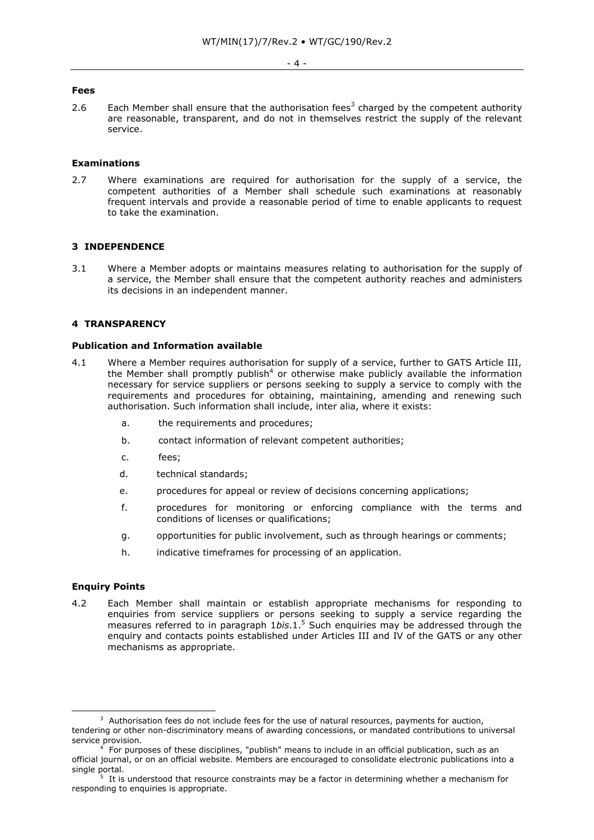#### **Fees**

2.6 Each Member shall ensure that the authorisation fees<sup>3</sup> charged by the competent authority are reasonable, transparent, and do not in themselves restrict the supply of the relevant service.

## **Examinations**

2.7 Where examinations are required for authorisation for the supply of a service, the competent authorities of a Member shall schedule such examinations at reasonably frequent intervals and provide a reasonable period of time to enable applicants to request to take the examination.

# **3 INDEPENDENCE**

3.1 Where a Member adopts or maintains measures relating to authorisation for the supply of a service, the Member shall ensure that the competent authority reaches and administers its decisions in an independent manner.

# **4 TRANSPARENCY**

# **Publication and Information available**

- 4.1 Where a Member requires authorisation for supply of a service, further to GATS Article III, the Member shall promptly publish<sup>4</sup> or otherwise make publicly available the information necessary for service suppliers or persons seeking to supply a service to comply with the requirements and procedures for obtaining, maintaining, amending and renewing such authorisation. Such information shall include, inter alia, where it exists:
	- a. the requirements and procedures;
	- b. contact information of relevant competent authorities;
	- c. fees;
	- d. technical standards;
	- e. procedures for appeal or review of decisions concerning applications;
	- f. procedures for monitoring or enforcing compliance with the terms and conditions of licenses or qualifications;
	- g. opportunities for public involvement, such as through hearings or comments;
	- h. indicative timeframes for processing of an application.

## **Enquiry Points**

-

4.2 Each Member shall maintain or establish appropriate mechanisms for responding to enquiries from service suppliers or persons seeking to supply a service regarding the measures referred to in paragraph 1*bis*.1.<sup>5</sup> Such enquiries may be addressed through the enquiry and contacts points established under Articles III and IV of the GATS or any other mechanisms as appropriate.

 $3$  Authorisation fees do not include fees for the use of natural resources, payments for auction, tendering or other non-discriminatory means of awarding concessions, or mandated contributions to universal service provision.

<sup>4</sup> For purposes of these disciplines, "publish" means to include in an official publication, such as an official journal, or on an official website. Members are encouraged to consolidate electronic publications into a single portal.

<sup>5</sup> It is understood that resource constraints may be a factor in determining whether a mechanism for responding to enquiries is appropriate.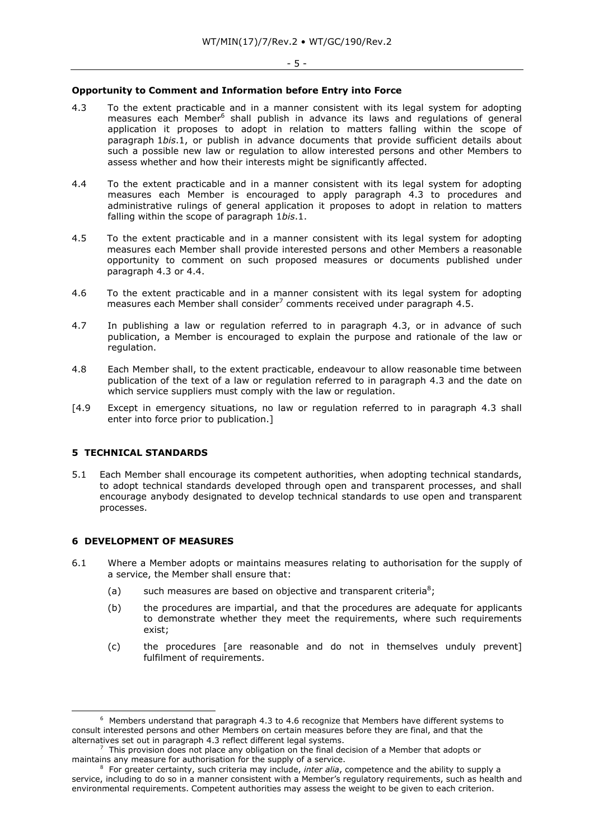#### **Opportunity to Comment and Information before Entry into Force**

- 4.3 To the extent practicable and in a manner consistent with its legal system for adopting measures each Member<sup>6</sup> shall publish in advance its laws and regulations of general application it proposes to adopt in relation to matters falling within the scope of paragraph 1*bis*.1, or publish in advance documents that provide sufficient details about such a possible new law or regulation to allow interested persons and other Members to assess whether and how their interests might be significantly affected.
- 4.4 To the extent practicable and in a manner consistent with its legal system for adopting measures each Member is encouraged to apply paragraph 4.3 to procedures and administrative rulings of general application it proposes to adopt in relation to matters falling within the scope of paragraph 1*bis*.1.
- 4.5 To the extent practicable and in a manner consistent with its legal system for adopting measures each Member shall provide interested persons and other Members a reasonable opportunity to comment on such proposed measures or documents published under paragraph 4.3 or 4.4.
- 4.6 To the extent practicable and in a manner consistent with its legal system for adopting measures each Member shall consider<sup>7</sup> comments received under paragraph 4.5.
- 4.7 In publishing a law or regulation referred to in paragraph 4.3, or in advance of such publication, a Member is encouraged to explain the purpose and rationale of the law or regulation.
- 4.8 Each Member shall, to the extent practicable, endeavour to allow reasonable time between publication of the text of a law or regulation referred to in paragraph 4.3 and the date on which service suppliers must comply with the law or regulation.
- [4.9 Except in emergency situations, no law or regulation referred to in paragraph 4.3 shall enter into force prior to publication.]

# **5 TECHNICAL STANDARDS**

5.1 Each Member shall encourage its competent authorities, when adopting technical standards, to adopt technical standards developed through open and transparent processes, and shall encourage anybody designated to develop technical standards to use open and transparent processes.

# **6 DEVELOPMENT OF MEASURES**

-

- 6.1 Where a Member adopts or maintains measures relating to authorisation for the supply of a service, the Member shall ensure that:
	- (a) such measures are based on objective and transparent criteria<sup>8</sup>;
	- (b) the procedures are impartial, and that the procedures are adequate for applicants to demonstrate whether they meet the requirements, where such requirements exist;
	- (c) the procedures [are reasonable and do not in themselves unduly prevent] fulfilment of requirements.

 $6$  Members understand that paragraph 4.3 to 4.6 recognize that Members have different systems to consult interested persons and other Members on certain measures before they are final, and that the alternatives set out in paragraph 4.3 reflect different legal systems.

<sup>7</sup> This provision does not place any obligation on the final decision of a Member that adopts or maintains any measure for authorisation for the supply of a service.

<sup>8</sup> For greater certainty, such criteria may include, *inter alia*, competence and the ability to supply a service, including to do so in a manner consistent with a Member's regulatory requirements, such as health and environmental requirements. Competent authorities may assess the weight to be given to each criterion.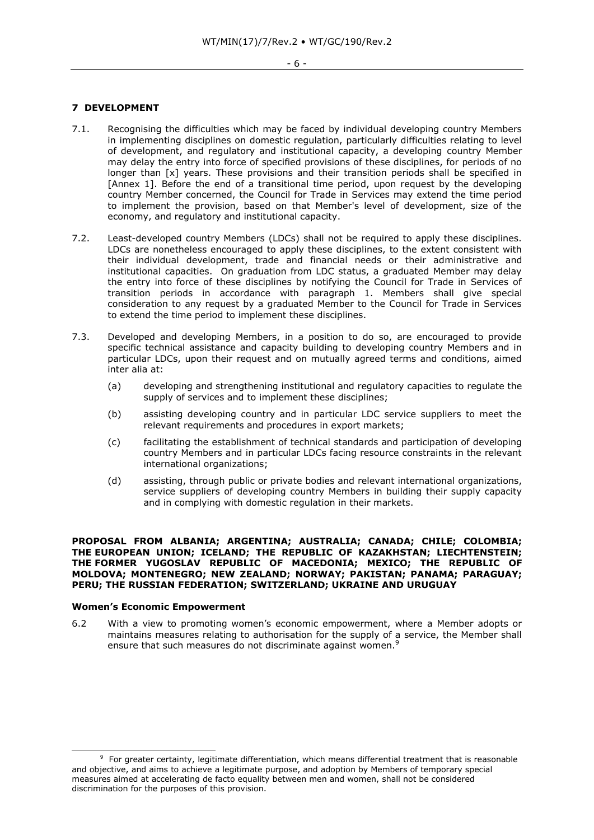## **7 DEVELOPMENT**

- 7.1. Recognising the difficulties which may be faced by individual developing country Members in implementing disciplines on domestic regulation, particularly difficulties relating to level of development, and regulatory and institutional capacity, a developing country Member may delay the entry into force of specified provisions of these disciplines, for periods of no longer than [x] years. These provisions and their transition periods shall be specified in [Annex 1]. Before the end of a transitional time period, upon request by the developing country Member concerned, the Council for Trade in Services may extend the time period to implement the provision, based on that Member's level of development, size of the economy, and regulatory and institutional capacity.
- 7.2. Least-developed country Members (LDCs) shall not be required to apply these disciplines. LDCs are nonetheless encouraged to apply these disciplines, to the extent consistent with their individual development, trade and financial needs or their administrative and institutional capacities. On graduation from LDC status, a graduated Member may delay the entry into force of these disciplines by notifying the Council for Trade in Services of transition periods in accordance with paragraph 1. Members shall give special consideration to any request by a graduated Member to the Council for Trade in Services to extend the time period to implement these disciplines.
- 7.3. Developed and developing Members, in a position to do so, are encouraged to provide specific technical assistance and capacity building to developing country Members and in particular LDCs, upon their request and on mutually agreed terms and conditions, aimed inter alia at:
	- (a) developing and strengthening institutional and regulatory capacities to regulate the supply of services and to implement these disciplines;
	- (b) assisting developing country and in particular LDC service suppliers to meet the relevant requirements and procedures in export markets;
	- (c) facilitating the establishment of technical standards and participation of developing country Members and in particular LDCs facing resource constraints in the relevant international organizations;
	- (d) assisting, through public or private bodies and relevant international organizations, service suppliers of developing country Members in building their supply capacity and in complying with domestic regulation in their markets.

## **PROPOSAL FROM ALBANIA; ARGENTINA; AUSTRALIA; CANADA; CHILE; COLOMBIA; THE EUROPEAN UNION; ICELAND; THE REPUBLIC OF KAZAKHSTAN; LIECHTENSTEIN; THE FORMER YUGOSLAV REPUBLIC OF MACEDONIA; MEXICO; THE REPUBLIC OF MOLDOVA; MONTENEGRO; NEW ZEALAND; NORWAY; PAKISTAN; PANAMA; PARAGUAY; PERU; THE RUSSIAN FEDERATION; SWITZERLAND; UKRAINE AND URUGUAY**

#### **Women's Economic Empowerment**

-

6.2 With a view to promoting women's economic empowerment, where a Member adopts or maintains measures relating to authorisation for the supply of a service, the Member shall ensure that such measures do not discriminate against women.<sup>9</sup>

<sup>&</sup>lt;sup>9</sup> For greater certainty, legitimate differentiation, which means differential treatment that is reasonable and objective, and aims to achieve a legitimate purpose, and adoption by Members of temporary special measures aimed at accelerating de facto equality between men and women, shall not be considered discrimination for the purposes of this provision.